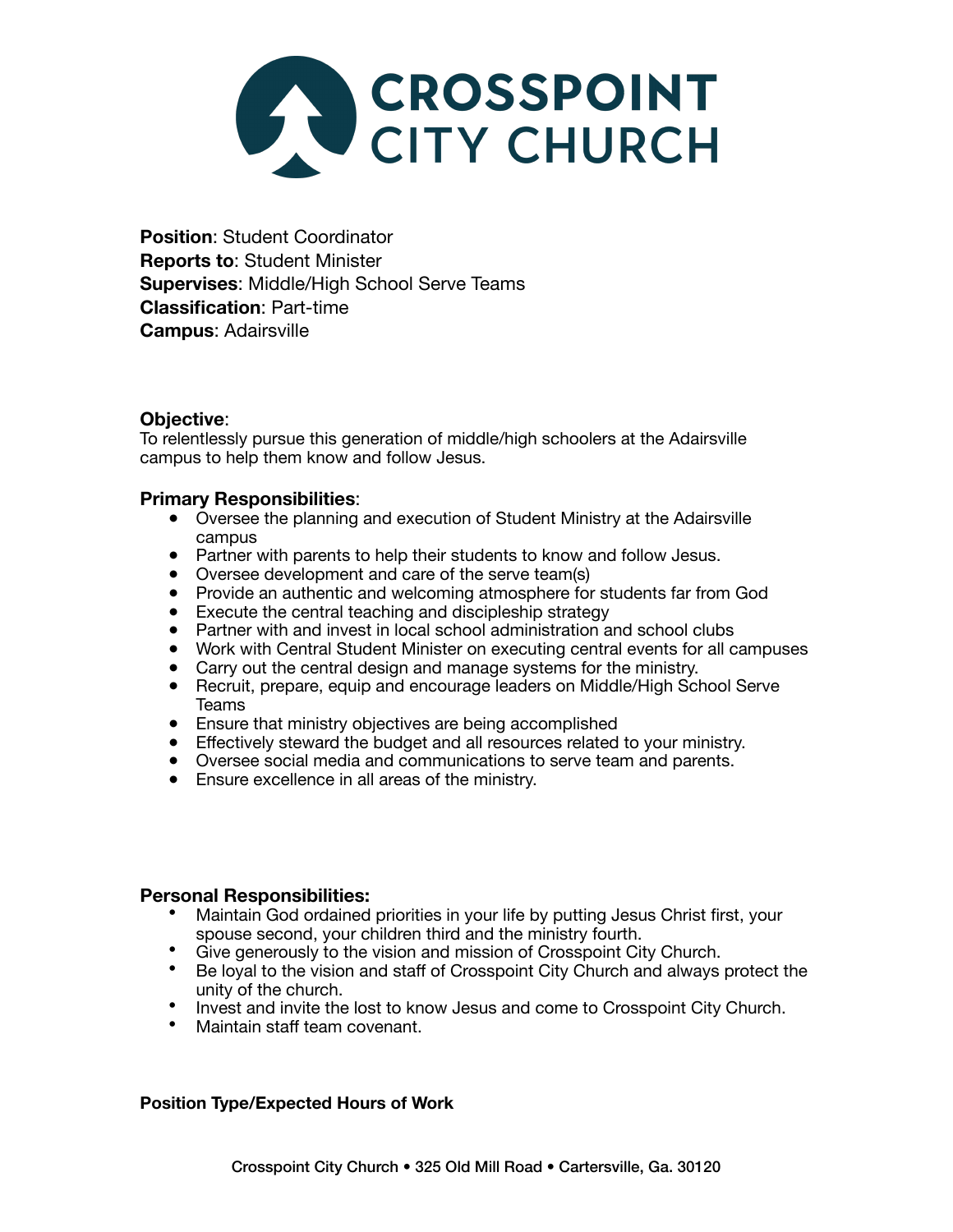

**Position**: Student Coordinator **Reports to**: Student Minister **Supervises**: Middle/High School Serve Teams **Classification**: Part-time **Campus**: Adairsville

# **Objective**:

To relentlessly pursue this generation of middle/high schoolers at the Adairsville campus to help them know and follow Jesus.

# **Primary Responsibilities**:

- Oversee the planning and execution of Student Ministry at the Adairsville campus
- Partner with parents to help their students to know and follow Jesus.
- Oversee development and care of the serve team(s)
- Provide an authentic and welcoming atmosphere for students far from God
- Execute the central teaching and discipleship strategy
- Partner with and invest in local school administration and school clubs
- Work with Central Student Minister on executing central events for all campuses
- Carry out the central design and manage systems for the ministry.
- Recruit, prepare, equip and encourage leaders on Middle/High School Serve Teams
- Ensure that ministry objectives are being accomplished
- Effectively steward the budget and all resources related to your ministry.
- Oversee social media and communications to serve team and parents.
- Ensure excellence in all areas of the ministry.

## **Personal Responsibilities:**

- Maintain God ordained priorities in your life by putting Jesus Christ first, your
- spouse second, your children third and the ministry fourth.<br>• Give generously to the vision and mission of Crosspoint City Church.
- Give generously to the vision and mission of Crosspoint City Church. Be loyal to the vision and staff of Crosspoint City Church and always protect the unity of the church.
- Invest and invite the lost to know Jesus and come to Crosspoint City Church.<br>• Maintain staff team covenant.
- 

## **Position Type/Expected Hours of Work**